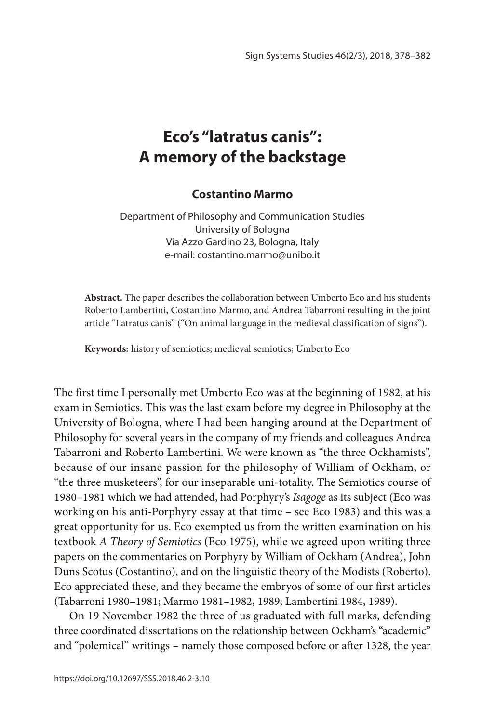# **Eco's "latratus canis": A memory of the backstage**

#### **Costantino Marmo**

Department of Philosophy and Communication Studies University of Bologna Via Azzo Gardino 23, Bologna, Italy e-mail: costantino.marmo@unibo.it

**Abstract.** The paper describes the collaboration between Umberto Eco and his students Roberto Lambertini, Costantino Marmo, and Andrea Tabarroni resulting in the joint article "Latratus canis" ("On animal language in the medieval classification of signs").

**Keywords:** history of semiotics; medieval semiotics; Umberto Eco

The first time I personally met Umberto Eco was at the beginning of 1982, at his exam in Semiotics. This was the last exam before my degree in Philosophy at the University of Bologna, where I had been hanging around at the Department of Philosophy for several years in the company of my friends and colleagues Andrea Tabarroni and Roberto Lambertini. We were known as "the three Ockhamists", because of our insane passion for the philosophy of William of Ockham, or "the three musketeers", for our inseparable uni-totality. The Semiotics course of 1980–1981 which we had attended, had Porphyry's *Isagoge* as its subject (Eco was working on his anti-Porphyry essay at that time – see Eco 1983) and this was a great opportunity for us. Eco exempted us from the written examination on his textbook *A Theory of Semiotics* (Eco 1975), while we agreed upon writing three papers on the commentaries on Porphyry by William of Ockham (Andrea), John Duns Scotus (Costantino), and on the linguistic theory of the Modists (Roberto). Eco appreciated these, and they became the embryos of some of our first articles (Tabarroni 1980–1981; Marmo 1981–1982, 1989; Lambertini 1984, 1989).

On 19 November 1982 the three of us graduated with full marks, defending three coordinated dissertations on the relationship between Ockham's "academic" and "polemical" writings – namely those composed before or after 1328, the year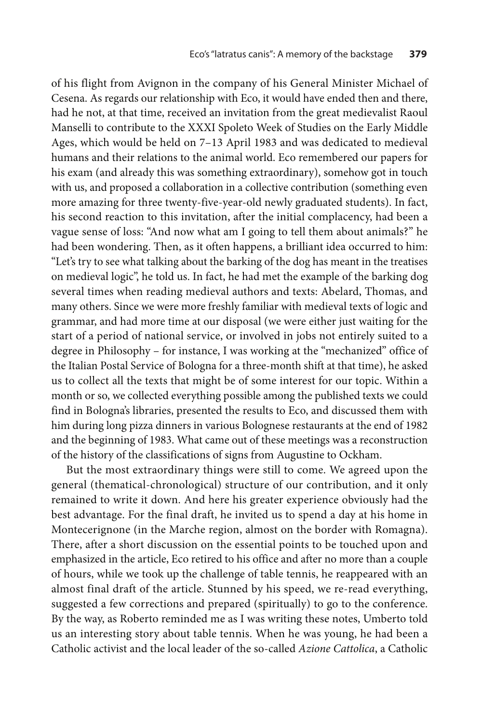of his flight from Avignon in the company of his General Minister Michael of Cesena. As regards our relationship with Eco, it would have ended then and there, had he not, at that time, received an invitation from the great medievalist Raoul Manselli to contribute to the XXXI Spoleto Week of Studies on the Early Middle Ages, which would be held on 7–13 April 1983 and was dedicated to medieval humans and their relations to the animal world. Eco remembered our papers for his exam (and already this was something extraordinary), somehow got in touch with us, and proposed a collaboration in a collective contribution (something even more amazing for three twenty-five-year-old newly graduated students). In fact, his second reaction to this invitation, after the initial complacency, had been a vague sense of loss: "And now what am I going to tell them about animals?" he had been wondering. Then, as it often happens, a brilliant idea occurred to him: "Let's try to see what talking about the barking of the dog has meant in the treatises on medieval logic", he told us. In fact, he had met the example of the barking dog several times when reading medieval authors and texts: Abelard, Thomas, and many others. Since we were more freshly familiar with medieval texts of logic and grammar, and had more time at our disposal (we were either just waiting for the start of a period of national service, or involved in jobs not entirely suited to a degree in Philosophy – for instance, I was working at the "mechanized" office of the Italian Postal Service of Bologna for a three-month shift at that time), he asked us to collect all the texts that might be of some interest for our topic. Within a month or so, we collected everything possible among the published texts we could find in Bologna's libraries, presented the results to Eco, and discussed them with him during long pizza dinners in various Bolognese restaurants at the end of 1982 and the beginning of 1983. What came out of these meetings was a reconstruction of the history of the classifications of signs from Augustine to Ockham.

But the most extraordinary things were still to come. We agreed upon the general (thematical-chronological) structure of our contribution, and it only remained to write it down. And here his greater experience obviously had the best advantage. For the final draft, he invited us to spend a day at his home in Montecerignone (in the Marche region, almost on the border with Romagna). There, after a short discussion on the essential points to be touched upon and emphasized in the article, Eco retired to his office and after no more than a couple of hours, while we took up the challenge of table tennis, he reappeared with an almost final draft of the article. Stunned by his speed, we re-read everything, suggested a few corrections and prepared (spiritually) to go to the conference. By the way, as Roberto reminded me as I was writing these notes, Umberto told us an interesting story about table tennis. When he was young, he had been a Catholic activist and the local leader of the so-called *Azione Cattolica*, a Catholic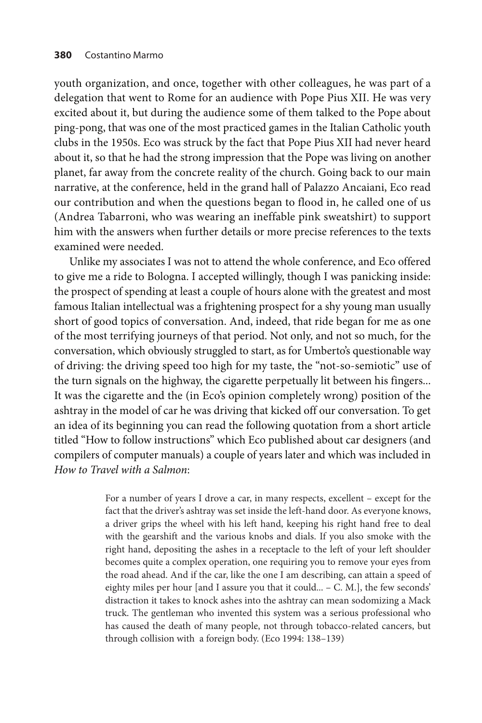youth organization, and once, together with other colleagues, he was part of a delegation that went to Rome for an audience with Pope Pius XII. He was very excited about it, but during the audience some of them talked to the Pope about ping-pong, that was one of the most practiced games in the Italian Catholic youth clubs in the 1950s. Eco was struck by the fact that Pope Pius XII had never heard about it, so that he had the strong impression that the Pope was living on another planet, far away from the concrete reality of the church. Going back to our main narrative, at the conference, held in the grand hall of Palazzo Ancaiani, Eco read our contribution and when the questions began to flood in, he called one of us (Andrea Tabarroni, who was wearing an ineffable pink sweatshirt) to support him with the answers when further details or more precise references to the texts examined were needed.

Unlike my associates I was not to attend the whole conference, and Eco offered to give me a ride to Bologna. I accepted willingly, though I was panicking inside: the prospect of spending at least a couple of hours alone with the greatest and most famous Italian intellectual was a frightening prospect for a shy young man usually short of good topics of conversation. And, indeed, that ride began for me as one of the most terrifying journeys of that period. Not only, and not so much, for the conversation, which obviously struggled to start, as for Umberto's questionable way of driving: the driving speed too high for my taste, the "not-so-semiotic" use of the turn signals on the highway, the cigarette perpetually lit between his fingers... It was the cigarette and the (in Eco's opinion completely wrong) position of the ashtray in the model of car he was driving that kicked off our conversation. To get an idea of its beginning you can read the following quotation from a short article titled "How to follow instructions" which Eco published about car designers (and compilers of computer manuals) a couple of years later and which was included in *How to Travel with a Salmon*:

> For a number of years I drove a car, in many respects, excellent – except for the fact that the driver's ashtray was set inside the left-hand door. As everyone knows, a driver grips the wheel with his left hand, keeping his right hand free to deal with the gearshift and the various knobs and dials. If you also smoke with the right hand, depositing the ashes in a receptacle to the left of your left shoulder becomes quite a complex operation, one requiring you to remove your eyes from the road ahead. And if the car, like the one I am describing, can attain a speed of eighty miles per hour [and I assure you that it could... – C. M.], the few seconds' distraction it takes to knock ashes into the ashtray can mean sodomizing a Mack truck. The gentleman who invented this system was a serious professional who has caused the death of many people, not through tobacco-related cancers, but through collision with a foreign body. (Eco 1994: 138–139)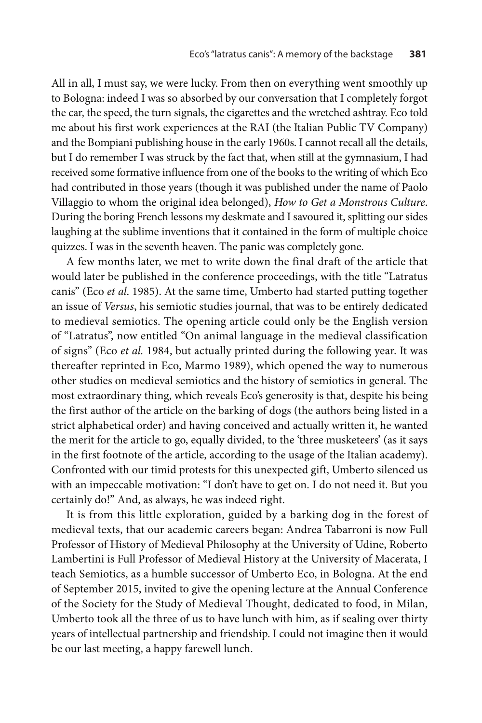All in all, I must say, we were lucky. From then on everything went smoothly up to Bologna: indeed I was so absorbed by our conversation that I completely forgot the car, the speed, the turn signals, the cigarettes and the wretched ashtray. Eco told me about his first work experiences at the RAI (the Italian Public TV Company) and the Bompiani publishing house in the early 1960s. I cannot recall all the details, but I do remember I was struck by the fact that, when still at the gymnasium, I had received some formative influence from one of the books to the writing of which Eco had contributed in those years (though it was published under the name of Paolo Villaggio to whom the original idea belonged), *How to Get a Monstrous Culture*. During the boring French lessons my deskmate and I savoured it, splitting our sides laughing at the sublime inventions that it contained in the form of multiple choice quizzes. I was in the seventh heaven. The panic was completely gone.

A few months later, we met to write down the final draft of the article that would later be published in the conference proceedings, with the title "Latratus canis" (Eco *et al*. 1985). At the same time, Umberto had started putting together an issue of *Versus*, his semiotic studies journal, that was to be entirely dedicated to medieval semiotics. The opening article could only be the English version of "Latratus", now entitled "On animal language in the medieval classification of signs" (Eco *et al.* 1984, but actually printed during the following year. It was thereafter reprinted in Eco, Marmo 1989), which opened the way to numerous other studies on medieval semiotics and the history of semiotics in general. The most extraordinary thing, which reveals Eco's generosity is that, despite his being the first author of the article on the barking of dogs (the authors being listed in a strict alphabetical order) and having conceived and actually written it, he wanted the merit for the article to go, equally divided, to the 'three musketeers' (as it says in the first footnote of the article, according to the usage of the Italian academy). Confronted with our timid protests for this unexpected gift, Umberto silenced us with an impeccable motivation: "I don't have to get on. I do not need it. But you certainly do!" And, as always, he was indeed right.

It is from this little exploration, guided by a barking dog in the forest of medieval texts, that our academic careers began: Andrea Tabarroni is now Full Professor of History of Medieval Philosophy at the University of Udine, Roberto Lambertini is Full Professor of Medieval History at the University of Macerata, I teach Semiotics, as a humble successor of Umberto Eco, in Bologna. At the end of September 2015, invited to give the opening lecture at the Annual Conference of the Society for the Study of Medieval Thought, dedicated to food, in Milan, Umberto took all the three of us to have lunch with him, as if sealing over thirty years of intellectual partnership and friendship. I could not imagine then it would be our last meeting, a happy farewell lunch.